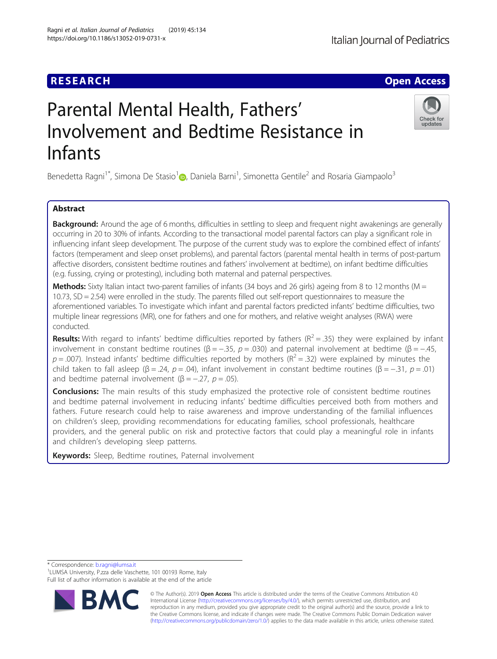## **RESEARCH CHE Open Access**

# Parental Mental Health, Fathers' Involvement and Bedtime Resistance in Infants

Benedetta Ragni<sup>[1](http://orcid.org/0000-0001-6300-5990)\*</sup>, Simona De Stasio<sup>1</sup> (**p**, Daniela Barni<sup>1</sup>, Simonetta Gentile<sup>2</sup> and Rosaria Giampaolo<sup>3</sup>

## Abstract

Background: Around the age of 6 months, difficulties in settling to sleep and frequent night awakenings are generally occurring in 20 to 30% of infants. According to the transactional model parental factors can play a significant role in influencing infant sleep development. The purpose of the current study was to explore the combined effect of infants' factors (temperament and sleep onset problems), and parental factors (parental mental health in terms of post-partum affective disorders, consistent bedtime routines and fathers' involvement at bedtime), on infant bedtime difficulties (e.g. fussing, crying or protesting), including both maternal and paternal perspectives.

Methods: Sixty Italian intact two-parent families of infants (34 boys and 26 girls) ageing from 8 to 12 months ( $M =$ 10.73, SD = 2.54) were enrolled in the study. The parents filled out self-report questionnaires to measure the aforementioned variables. To investigate which infant and parental factors predicted infants' bedtime difficulties, two multiple linear regressions (MR), one for fathers and one for mothers, and relative weight analyses (RWA) were conducted.

**Results:** With regard to infants' bedtime difficulties reported by fathers ( $R^2 = .35$ ) they were explained by infant involvement in constant bedtime routines ( $\beta = -0.35$ ,  $p = 0.030$ ) and paternal involvement at bedtime ( $\beta = -0.45$ ,  $p = .007$ ). Instead infants' bedtime difficulties reported by mothers ( $R^2 = .32$ ) were explained by minutes the child taken to fall asleep ( $\beta$  = .24, p = .04), infant involvement in constant bedtime routines ( $\beta$  = -.31, p = .01) and bedtime paternal involvement  $(\beta = -.27, p = .05)$ .

**Conclusions:** The main results of this study emphasized the protective role of consistent bedtime routines and bedtime paternal involvement in reducing infants' bedtime difficulties perceived both from mothers and fathers. Future research could help to raise awareness and improve understanding of the familial influences on children's sleep, providing recommendations for educating families, school professionals, healthcare providers, and the general public on risk and protective factors that could play a meaningful role in infants and children's developing sleep patterns.

Keywords: Sleep, Bedtime routines, Paternal involvement

\* Correspondence: [b.ragni@lumsa.it](mailto:b.ragni@lumsa.it) <sup>1</sup>

BA

<sup>1</sup>LUMSA University, P.zza delle Vaschette, 101 00193 Rome, Italy Full list of author information is available at the end of the article







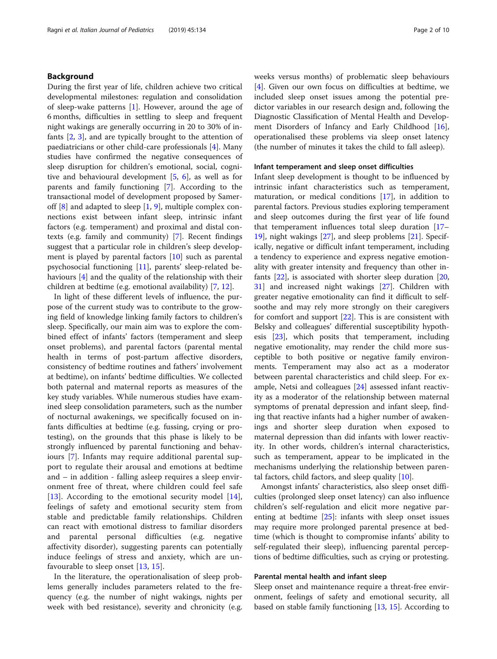## Background

During the first year of life, children achieve two critical developmental milestones: regulation and consolidation of sleep-wake patterns [[1\]](#page-8-0). However, around the age of 6 months, difficulties in settling to sleep and frequent night wakings are generally occurring in 20 to 30% of infants [[2,](#page-8-0) [3](#page-8-0)], and are typically brought to the attention of paediatricians or other child-care professionals [\[4](#page-8-0)]. Many studies have confirmed the negative consequences of sleep disruption for children's emotional, social, cognitive and behavioural development [[5,](#page-8-0) [6](#page-8-0)], as well as for parents and family functioning [[7\]](#page-8-0). According to the transactional model of development proposed by Sameroff  $[8]$  $[8]$  $[8]$  and adapted to sleep  $[1, 9]$  $[1, 9]$  $[1, 9]$  $[1, 9]$ , multiple complex connections exist between infant sleep, intrinsic infant factors (e.g. temperament) and proximal and distal contexts (e.g. family and community) [\[7](#page-8-0)]. Recent findings suggest that a particular role in children's sleep development is played by parental factors [\[10\]](#page-8-0) such as parental psychosocial functioning [\[11\]](#page-8-0), parents' sleep-related behaviours [\[4](#page-8-0)] and the quality of the relationship with their children at bedtime (e.g. emotional availability) [\[7](#page-8-0), [12](#page-8-0)].

In light of these different levels of influence, the purpose of the current study was to contribute to the growing field of knowledge linking family factors to children's sleep. Specifically, our main aim was to explore the combined effect of infants' factors (temperament and sleep onset problems), and parental factors (parental mental health in terms of post-partum affective disorders, consistency of bedtime routines and fathers' involvement at bedtime), on infants' bedtime difficulties. We collected both paternal and maternal reports as measures of the key study variables. While numerous studies have examined sleep consolidation parameters, such as the number of nocturnal awakenings, we specifically focused on infants difficulties at bedtime (e.g. fussing, crying or protesting), on the grounds that this phase is likely to be strongly influenced by parental functioning and behaviours [[7\]](#page-8-0). Infants may require additional parental support to regulate their arousal and emotions at bedtime and – in addition - falling asleep requires a sleep environment free of threat, where children could feel safe [[13\]](#page-8-0). According to the emotional security model [\[14](#page-8-0)], feelings of safety and emotional security stem from stable and predictable family relationships. Children can react with emotional distress to familiar disorders and parental personal difficulties (e.g. negative affectivity disorder), suggesting parents can potentially induce feelings of stress and anxiety, which are unfavourable to sleep onset [[13,](#page-8-0) [15\]](#page-8-0).

In the literature, the operationalisation of sleep problems generally includes parameters related to the frequency (e.g. the number of night wakings, nights per week with bed resistance), severity and chronicity (e.g. weeks versus months) of problematic sleep behaviours [[4\]](#page-8-0). Given our own focus on difficulties at bedtime, we included sleep onset issues among the potential predictor variables in our research design and, following the Diagnostic Classification of Mental Health and Development Disorders of Infancy and Early Childhood [\[16](#page-8-0)], operationalised these problems via sleep onset latency (the number of minutes it takes the child to fall asleep).

## Infant temperament and sleep onset difficulties

Infant sleep development is thought to be influenced by intrinsic infant characteristics such as temperament, maturation, or medical conditions [[17](#page-8-0)], in addition to parental factors. Previous studies exploring temperament and sleep outcomes during the first year of life found that temperament influences total sleep duration [[17](#page-8-0)– [19\]](#page-8-0), night wakings [[27\]](#page-8-0), and sleep problems [\[21\]](#page-8-0). Specifically, negative or difficult infant temperament, including a tendency to experience and express negative emotionality with greater intensity and frequency than other infants [\[22](#page-8-0)], is associated with shorter sleep duration [[20](#page-8-0), [31\]](#page-9-0) and increased night wakings [[27\]](#page-8-0). Children with greater negative emotionality can find it difficult to selfsoothe and may rely more strongly on their caregivers for comfort and support [\[22](#page-8-0)]. This is are consistent with Belsky and colleagues' differential susceptibility hypothesis [\[23](#page-8-0)], which posits that temperament, including negative emotionality, may render the child more susceptible to both positive or negative family environments. Temperament may also act as a moderator between parental characteristics and child sleep. For example, Netsi and colleagues [[24\]](#page-8-0) assessed infant reactivity as a moderator of the relationship between maternal symptoms of prenatal depression and infant sleep, finding that reactive infants had a higher number of awakenings and shorter sleep duration when exposed to maternal depression than did infants with lower reactivity. In other words, children's internal characteristics, such as temperament, appear to be implicated in the mechanisms underlying the relationship between parental factors, child factors, and sleep quality  $[10]$  $[10]$ .

Amongst infants' characteristics, also sleep onset difficulties (prolonged sleep onset latency) can also influence children's self-regulation and elicit more negative parenting at bedtime [\[25](#page-8-0)]: infants with sleep onset issues may require more prolonged parental presence at bedtime (which is thought to compromise infants' ability to self-regulated their sleep), influencing parental perceptions of bedtime difficulties, such as crying or protesting.

#### Parental mental health and infant sleep

Sleep onset and maintenance require a threat-free environment, feelings of safety and emotional security, all based on stable family functioning [[13,](#page-8-0) [15\]](#page-8-0). According to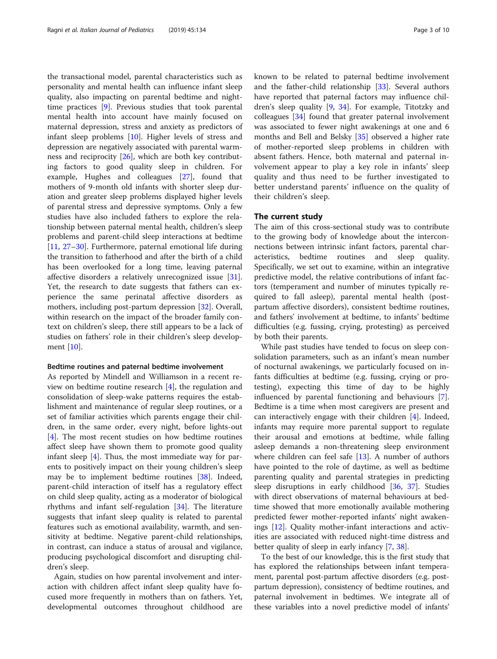the transactional model, parental characteristics such as personality and mental health can influence infant sleep quality, also impacting on parental bedtime and nighttime practices [\[9](#page-8-0)]. Previous studies that took parental mental health into account have mainly focused on maternal depression, stress and anxiety as predictors of infant sleep problems [\[10\]](#page-8-0). Higher levels of stress and depression are negatively associated with parental warmness and reciprocity [[26](#page-8-0)], which are both key contributing factors to good quality sleep in children. For example, Hughes and colleagues [\[27](#page-8-0)], found that mothers of 9-month old infants with shorter sleep duration and greater sleep problems displayed higher levels of parental stress and depressive symptoms. Only a few studies have also included fathers to explore the relationship between paternal mental health, children's sleep problems and parent-child sleep interactions at bedtime [[11,](#page-8-0) [27](#page-8-0)–[30\]](#page-9-0). Furthermore, paternal emotional life during the transition to fatherhood and after the birth of a child has been overlooked for a long time, leaving paternal affective disorders a relatively unrecognized issue [\[31](#page-9-0)]. Yet, the research to date suggests that fathers can experience the same perinatal affective disorders as mothers, including post-partum depression [\[32](#page-9-0)]. Overall, within research on the impact of the broader family context on children's sleep, there still appears to be a lack of studies on fathers' role in their children's sleep development [[10\]](#page-8-0).

#### Bedtime routines and paternal bedtime involvement

As reported by Mindell and Williamson in a recent review on bedtime routine research [\[4](#page-8-0)], the regulation and consolidation of sleep-wake patterns requires the establishment and maintenance of regular sleep routines, or a set of familiar activities which parents engage their children, in the same order, every night, before lights-out [[4\]](#page-8-0). The most recent studies on how bedtime routines affect sleep have shown them to promote good quality infant sleep [\[4](#page-8-0)]. Thus, the most immediate way for parents to positively impact on their young children's sleep may be to implement bedtime routines [[38](#page-9-0)]. Indeed, parent-child interaction of itself has a regulatory effect on child sleep quality, acting as a moderator of biological rhythms and infant self-regulation [[34](#page-9-0)]. The literature suggests that infant sleep quality is related to parental features such as emotional availability, warmth, and sensitivity at bedtime. Negative parent-child relationships, in contrast, can induce a status of arousal and vigilance, producing psychological discomfort and disrupting children's sleep.

Again, studies on how parental involvement and interaction with children affect infant sleep quality have focused more frequently in mothers than on fathers. Yet, developmental outcomes throughout childhood are known to be related to paternal bedtime involvement and the father-child relationship [[33\]](#page-9-0). Several authors have reported that paternal factors may influence children's sleep quality [\[9](#page-8-0), [34\]](#page-9-0). For example, Titotzky and colleagues [[34](#page-9-0)] found that greater paternal involvement was associated to fewer night awakenings at one and 6 months and Bell and Belsky [[35](#page-9-0)] observed a higher rate of mother-reported sleep problems in children with absent fathers. Hence, both maternal and paternal involvement appear to play a key role in infants' sleep quality and thus need to be further investigated to better understand parents' influence on the quality of their children's sleep.

## The current study

The aim of this cross-sectional study was to contribute to the growing body of knowledge about the interconnections between intrinsic infant factors, parental characteristics, bedtime routines and sleep quality. Specifically, we set out to examine, within an integrative predictive model, the relative contributions of infant factors (temperament and number of minutes typically required to fall asleep), parental mental health (postpartum affective disorders), consistent bedtime routines, and fathers' involvement at bedtime, to infants' bedtime difficulties (e.g. fussing, crying, protesting) as perceived by both their parents.

While past studies have tended to focus on sleep consolidation parameters, such as an infant's mean number of nocturnal awakenings, we particularly focused on infants difficulties at bedtime (e.g. fussing, crying or protesting), expecting this time of day to be highly influenced by parental functioning and behaviours [\[7](#page-8-0)]. Bedtime is a time when most caregivers are present and can interactively engage with their children [\[4](#page-8-0)]. Indeed, infants may require more parental support to regulate their arousal and emotions at bedtime, while falling asleep demands a non-threatening sleep environment where children can feel safe  $[13]$  $[13]$ . A number of authors have pointed to the role of daytime, as well as bedtime parenting quality and parental strategies in predicting sleep disruptions in early childhood [[36](#page-9-0), [37](#page-9-0)]. Studies with direct observations of maternal behaviours at bedtime showed that more emotionally available mothering predicted fewer mother-reported infants' night awakenings [[12\]](#page-8-0). Quality mother-infant interactions and activities are associated with reduced night-time distress and better quality of sleep in early infancy [\[7](#page-8-0), [38](#page-9-0)].

To the best of our knowledge, this is the first study that has explored the relationships between infant temperament, parental post-partum affective disorders (e.g. postpartum depression), consistency of bedtime routines, and paternal involvement in bedtimes. We integrate all of these variables into a novel predictive model of infants'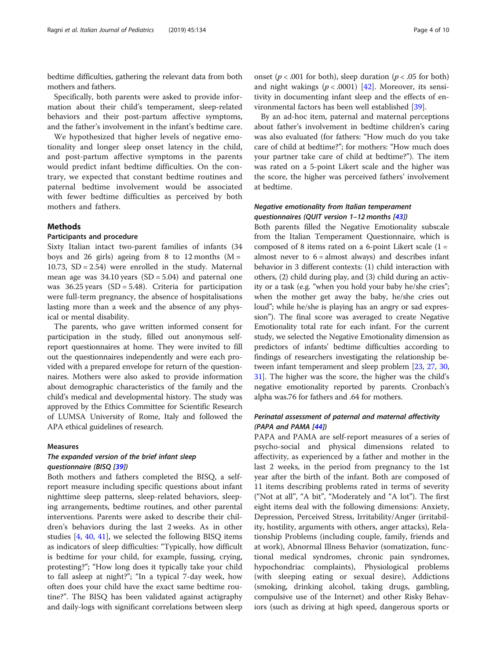bedtime difficulties, gathering the relevant data from both mothers and fathers.

Specifically, both parents were asked to provide information about their child's temperament, sleep-related behaviors and their post-partum affective symptoms, and the father's involvement in the infant's bedtime care.

We hypothesized that higher levels of negative emotionality and longer sleep onset latency in the child, and post-partum affective symptoms in the parents would predict infant bedtime difficulties. On the contrary, we expected that constant bedtime routines and paternal bedtime involvement would be associated with fewer bedtime difficulties as perceived by both mothers and fathers.

## **Methods**

## Participants and procedure

Sixty Italian intact two-parent families of infants (34 boys and 26 girls) ageing from 8 to 12 months  $(M =$ 10.73,  $SD = 2.54$ ) were enrolled in the study. Maternal mean age was  $34.10$  years (SD = 5.04) and paternal one was  $36.25$  years (SD = 5.48). Criteria for participation were full-term pregnancy, the absence of hospitalisations lasting more than a week and the absence of any physical or mental disability.

The parents, who gave written informed consent for participation in the study, filled out anonymous selfreport questionnaires at home. They were invited to fill out the questionnaires independently and were each provided with a prepared envelope for return of the questionnaires. Mothers were also asked to provide information about demographic characteristics of the family and the child's medical and developmental history. The study was approved by the Ethics Committee for Scientific Research of LUMSA University of Rome, Italy and followed the APA ethical guidelines of research.

## Measures

## The expanded version of the brief infant sleep questionnaire (BISQ [[39\]](#page-9-0))

Both mothers and fathers completed the BISQ, a selfreport measure including specific questions about infant nighttime sleep patterns, sleep-related behaviors, sleeping arrangements, bedtime routines, and other parental interventions. Parents were asked to describe their children's behaviors during the last 2 weeks. As in other studies [\[4](#page-8-0), [40,](#page-9-0) [41\]](#page-9-0), we selected the following BISQ items as indicators of sleep difficulties: "Typically, how difficult is bedtime for your child, for example, fussing, crying, protesting?"; "How long does it typically take your child to fall asleep at night?"; "In a typical 7-day week, how often does your child have the exact same bedtime routine?". The BISQ has been validated against actigraphy and daily-logs with significant correlations between sleep

onset ( $p < .001$  for both), sleep duration ( $p < .05$  for both) and night wakings  $(p < .0001)$  [[42\]](#page-9-0). Moreover, its sensitivity in documenting infant sleep and the effects of environmental factors has been well established [\[39](#page-9-0)].

By an ad-hoc item, paternal and maternal perceptions about father's involvement in bedtime children's caring was also evaluated (for fathers: "How much do you take care of child at bedtime?"; for mothers: "How much does your partner take care of child at bedtime?"). The item was rated on a 5-point Likert scale and the higher was the score, the higher was perceived fathers' involvement at bedtime.

## Negative emotionality from Italian temperament questionnaires (QUIT version 1-12 months [[43](#page-9-0)])

Both parents filled the Negative Emotionality subscale from the Italian Temperament Questionnaire, which is composed of 8 items rated on a 6-point Likert scale  $(1 =$ almost never to  $6 =$  almost always) and describes infant behavior in 3 different contexts: (1) child interaction with others, (2) child during play, and (3) child during an activity or a task (e.g. "when you hold your baby he/she cries"; when the mother get away the baby, he/she cries out loud"; while he/she is playing has an angry or sad expression"). The final score was averaged to create Negative Emotionality total rate for each infant. For the current study, we selected the Negative Emotionality dimension as predictors of infants' bedtime difficulties according to findings of researchers investigating the relationship between infant temperament and sleep problem [[23](#page-8-0), [27](#page-8-0), [30](#page-9-0), [31](#page-9-0)]. The higher was the score, the higher was the child's negative emotionality reported by parents. Cronbach's alpha was.76 for fathers and .64 for mothers.

## Perinatal assessment of paternal and maternal affectivity (PAPA and PAMA [\[44\]](#page-9-0))

PAPA and PAMA are self-report measures of a series of psycho-social and physical dimensions related to affectivity, as experienced by a father and mother in the last 2 weeks, in the period from pregnancy to the 1st year after the birth of the infant. Both are composed of 11 items describing problems rated in terms of severity ("Not at all", "A bit", "Moderately and "A lot"). The first eight items deal with the following dimensions: Anxiety, Depression, Perceived Stress, Irritability/Anger (irritability, hostility, arguments with others, anger attacks), Relationship Problems (including couple, family, friends and at work), Abnormal Illness Behavior (somatization, functional medical syndromes, chronic pain syndromes, hypochondriac complaints), Physiological problems (with sleeping eating or sexual desire), Addictions (smoking, drinking alcohol, taking drugs, gambling, compulsive use of the Internet) and other Risky Behaviors (such as driving at high speed, dangerous sports or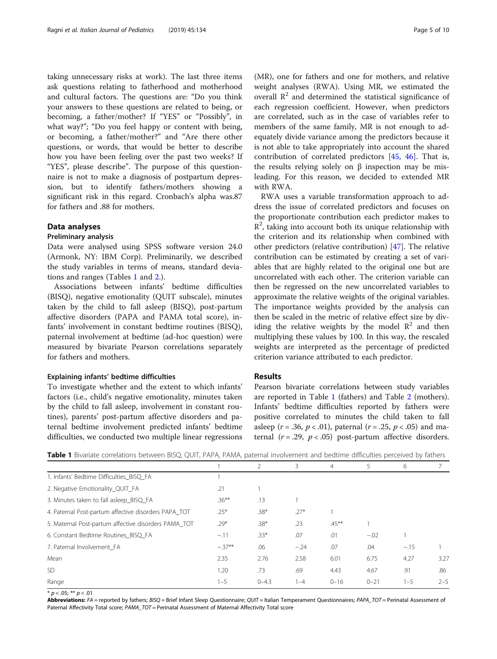taking unnecessary risks at work). The last three items ask questions relating to fatherhood and motherhood and cultural factors. The questions are: "Do you think your answers to these questions are related to being, or becoming, a father/mother? If "YES" or "Possibly", in what way?"; "Do you feel happy or content with being, or becoming, a father/mother?" and "Are there other questions, or words, that would be better to describe how you have been feeling over the past two weeks? If "YES", please describe". The purpose of this questionnaire is not to make a diagnosis of postpartum depression, but to identify fathers/mothers showing a significant risk in this regard. Cronbach's alpha was.87 for fathers and .88 for mothers.

## Data analyses

#### Preliminary analysis

Data were analysed using SPSS software version 24.0 (Armonk, NY: IBM Corp). Preliminarily, we described the study variables in terms of means, standard deviations and ranges (Tables 1 and [2.](#page-5-0)).

Associations between infants' bedtime difficulties (BISQ), negative emotionality (QUIT subscale), minutes taken by the child to fall asleep (BISQ), post-partum affective disorders (PAPA and PAMA total score), infants' involvement in constant bedtime routines (BISQ), paternal involvement at bedtime (ad-hoc question) were measured by bivariate Pearson correlations separately for fathers and mothers.

#### Explaining infants' bedtime difficulties

To investigate whether and the extent to which infants' factors (i.e., child's negative emotionality, minutes taken by the child to fall asleep, involvement in constant routines), parents' post-partum affective disorders and paternal bedtime involvement predicted infants' bedtime difficulties, we conducted two multiple linear regressions

(MR), one for fathers and one for mothers, and relative weight analyses (RWA). Using MR, we estimated the overall  $\mathbb{R}^2$  and determined the statistical significance of each regression coefficient. However, when predictors are correlated, such as in the case of variables refer to members of the same family, MR is not enough to adequately divide variance among the predictors because it is not able to take appropriately into account the shared contribution of correlated predictors [[45,](#page-9-0) [46](#page-9-0)]. That is, the results relying solely on  $β$  inspection may be misleading. For this reason, we decided to extended MR with RWA.

RWA uses a variable transformation approach to address the issue of correlated predictors and focuses on the proportionate contribution each predictor makes to  $R<sup>2</sup>$ , taking into account both its unique relationship with the criterion and its relationship when combined with other predictors (relative contribution) [[47\]](#page-9-0). The relative contribution can be estimated by creating a set of variables that are highly related to the original one but are uncorrelated with each other. The criterion variable can then be regressed on the new uncorrelated variables to approximate the relative weights of the original variables. The importance weights provided by the analysis can then be scaled in the metric of relative effect size by dividing the relative weights by the model  $R^2$  and then multiplying these values by 100. In this way, the rescaled weights are interpreted as the percentage of predicted criterion variance attributed to each predictor.

## Results

Pearson bivariate correlations between study variables are reported in Table 1 (fathers) and Table [2](#page-5-0) (mothers). Infants' bedtime difficulties reported by fathers were positive correlated to minutes the child taken to fall asleep ( $r = .36$ ,  $p < .01$ ), paternal ( $r = .25$ ,  $p < .05$ ) and maternal  $(r=.29, p < .05)$  post-partum affective disorders.

|  |  |  |  |  |  |  |  |  | Table 1 Bivariate correlations between BISQ, QUIT, PAPA, PAMA, paternal involvement and bedtime difficulties perceived by fathers |  |  |  |  |  |  |
|--|--|--|--|--|--|--|--|--|-----------------------------------------------------------------------------------------------------------------------------------|--|--|--|--|--|--|
|--|--|--|--|--|--|--|--|--|-----------------------------------------------------------------------------------------------------------------------------------|--|--|--|--|--|--|

|                                                      |          |           | 3      | 4        | 5        | 6       |         |
|------------------------------------------------------|----------|-----------|--------|----------|----------|---------|---------|
| 1. Infants' Bedtime Difficulties BISQ FA             |          |           |        |          |          |         |         |
| 2. Negative Emotionality QUIT FA                     | .21      |           |        |          |          |         |         |
| 3. Minutes taken to fall asleep BISQ FA              | $.36***$ | .13       |        |          |          |         |         |
| 4. Paternal Post-partum affective disorders PAPA TOT | $.25*$   | $.38*$    | $.27*$ |          |          |         |         |
| 5. Maternal Post-partum affective disorders PAMA TOT | $.29*$   | $.38*$    | .23    | $.45***$ |          |         |         |
| 6. Constant Bedtime Routines BISQ FA                 | $-.11$   | $.33*$    | .07    | .01      | $-.02$   |         |         |
| 7. Paternal Involvement FA                           | $-37**$  | .06       | $-.24$ | .07      | .04      | $-.15$  |         |
| Mean                                                 | 2.35     | 2.76      | 2.58   | 6.01     | 6.75     | 4.27    | 3.27    |
| SD.                                                  | 1.20     | .73       | .69    | 4.43     | 4.67     | .91     | .86     |
| Range                                                | $1 - 5$  | $0 - 4.3$ | $ -4$  | $0 - 16$ | $0 - 21$ | $1 - 5$ | $2 - 5$ |
|                                                      |          |           |        |          |          |         |         |

\*  $p < .05$ ; \*\*  $p < .01$ 

Abbreviations: FA = reported by fathers; BISQ = Brief Infant Sleep Questionnaire; QUIT = Italian Temperament Questionnaires; PAPA\_TOT = Perinatal Assessment of Paternal Affectivity Total score; PAMA\_TOT = Perinatal Assessment of Maternal Affectivity Total score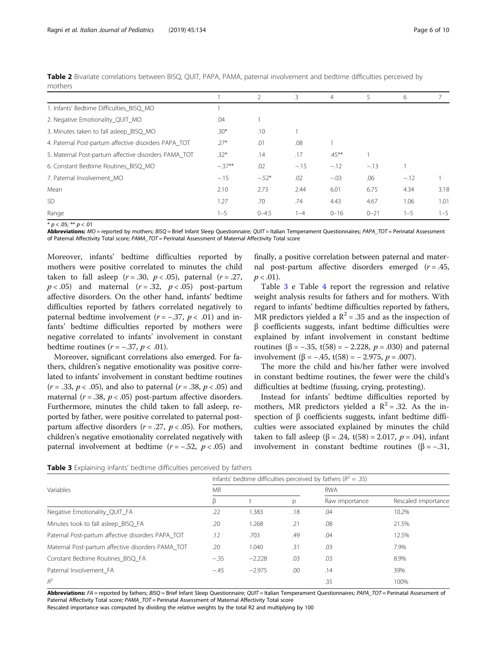|                                                      |         | 2         | 3      | 4        | 5        | 6       |         |
|------------------------------------------------------|---------|-----------|--------|----------|----------|---------|---------|
| 1. Infants' Bedtime Difficulties BISQ MO             |         |           |        |          |          |         |         |
| 2. Negative Emotionality_QUIT_MO                     | .04     |           |        |          |          |         |         |
| 3. Minutes taken to fall asleep BISQ MO              | $.30*$  | .10       |        |          |          |         |         |
| 4. Paternal Post-partum affective disorders PAPA TOT | $.27*$  | .01       | .08    |          |          |         |         |
| 5. Maternal Post-partum affective disorders PAMA TOT | $.32*$  | .14       | .17    | $.45***$ |          |         |         |
| 6. Constant Bedtime Routines_BISQ_MO                 | $-37**$ | .02       | $-.15$ | $-.12$   | $-.13$   |         |         |
| 7. Paternal Involvement MO                           | $-.15$  | $-.52*$   | .02    | $-.03$   | .06      | $-.12$  |         |
| Mean                                                 | 2.10    | 2.73      | 2.44   | 6.01     | 6.75     | 4.34    | 3.18    |
| <b>SD</b>                                            | 1.27    | .70       | .74    | 4.43     | 4.67     | 1.06    | 1.01    |
| Range                                                | $1 - 5$ | $0 - 4.5$ | 1–4    | $0 - 16$ | $0 - 21$ | $1 - 5$ | $1 - 5$ |

<span id="page-5-0"></span>Table 2 Bivariate correlations between BISQ, QUIT, PAPA, PAMA, paternal involvement and bedtime difficulties perceived by mothers

\*  $p < .05$ ; \*\*  $p < .01$ 

Abbreviations: MO = reported by mothers; BISQ = Brief Infant Sleep Questionnaire; QUIT = Italian Temperament Questionnaires; PAPA\_TOT = Perinatal Assessment of Paternal Affectivity Total score; PAMA\_TOT = Perinatal Assessment of Maternal Affectivity Total score

Moreover, infants' bedtime difficulties reported by mothers were positive correlated to minutes the child taken to fall asleep  $(r=.30, p < .05)$ , paternal  $(r=.27,$  $p < .05$ ) and maternal  $(r = .32, p < .05)$  post-partum affective disorders. On the other hand, infants' bedtime difficulties reported by fathers correlated negatively to paternal bedtime involvement ( $r = -.37$ ,  $p < .01$ ) and infants' bedtime difficulties reported by mothers were negative correlated to infants' involvement in constant bedtime routines  $(r = -.37, p < .01)$ .

Moreover, significant correlations also emerged. For fathers, children's negative emotionality was positive correlated to infants' involvement in constant bedtime routines  $(r = .33, p < .05)$ , and also to paternal  $(r = .38, p < .05)$  and maternal ( $r = .38$ ,  $p < .05$ ) post-partum affective disorders. Furthermore, minutes the child taken to fall asleep, reported by father, were positive correlated to paternal postpartum affective disorders ( $r = .27$ ,  $p < .05$ ). For mothers, children's negative emotionality correlated negatively with paternal involvement at bedtime  $(r = -.52, p < .05)$  and

finally, a positive correlation between paternal and maternal post-partum affective disorders emerged  $(r=.45, ...)$  $p < .01$ ).

Table 3 e Table [4](#page-6-0) report the regression and relative weight analysis results for fathers and for mothers. With regard to infants' bedtime difficulties reported by fathers, MR predictors yielded a  $R^2$  = .35 and as the inspection of β coefficients suggests, infant bedtime difficulties were explained by infant involvement in constant bedtime routines (β = -.35, t(58) = - 2.228,  $p = .030$ ) and paternal involvement (β = −.45, t(58) = − 2.975, p = .007).

The more the child and his/her father were involved in constant bedtime routines, the fewer were the child's difficulties at bedtime (fussing, crying, protesting).

Instead for infants' bedtime difficulties reported by mothers, MR predictors yielded a  $R^2 = .32$ . As the inspection of β coefficients suggests, infant bedtime difficulties were associated explained by minutes the child taken to fall asleep (β = .24, t(58) = 2.017,  $p = .04$ ), infant involvement in constant bedtime routines ( $\beta = -.31$ ,

Table 3 Explaining infants' bedtime difficulties perceived by fathers

|                                                   | Infants' bedtime difficulties perceived by fathers ( $R^2 = .35$ ) |          |     |                |                     |  |  |  |  |
|---------------------------------------------------|--------------------------------------------------------------------|----------|-----|----------------|---------------------|--|--|--|--|
| Variables                                         | MR.                                                                |          |     | <b>RWA</b>     |                     |  |  |  |  |
|                                                   |                                                                    |          | D   | Raw importance | Rescaled importance |  |  |  |  |
| Negative Emotionality_QUIT_FA                     | .22                                                                | 1.383    | .18 | .04            | 10.2%               |  |  |  |  |
| Minutes took to fall asleep BISQ FA               | .20                                                                | 1.268    | .21 | .08            | 21.5%               |  |  |  |  |
| Paternal Post-partum affective disorders PAPA TOT | .12                                                                | .703     | .49 | .04            | 12.5%               |  |  |  |  |
| Maternal Post-partum affective disorders PAMA TOT | .20                                                                | 1.040    | .31 | .03            | 7.9%                |  |  |  |  |
| Constant Bedtime Routines BISQ FA                 | $-.35$                                                             | $-2.228$ | .03 | .03            | 8.9%                |  |  |  |  |
| Paternal Involvement FA                           | $-.45$                                                             | $-2.975$ | .00 | .14            | 39%                 |  |  |  |  |
| $R^2$                                             |                                                                    |          |     | .35            | 100%                |  |  |  |  |

Abbreviations: FA = reported by fathers; BISQ = Brief Infant Sleep Questionnaire; QUIT = Italian Temperament Questionnaires; PAPA\_TOT = Perinatal Assessment of Paternal Affectivity Total score: PAMA\_TOT = Perinatal Assessment of Maternal Affectivity Total score

Rescaled importance was computed by dividing the relative weights by the total R2 and multiplying by 100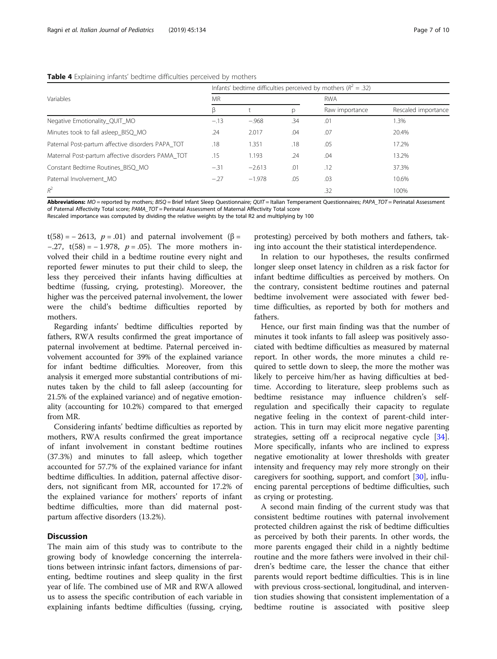<span id="page-6-0"></span>

|                                                   | Infants' bedtime difficulties perceived by mothers ( $R^2 = .32$ ) |          |     |                |                     |  |  |  |  |
|---------------------------------------------------|--------------------------------------------------------------------|----------|-----|----------------|---------------------|--|--|--|--|
| Variables                                         | <b>MR</b>                                                          |          |     | <b>RWA</b>     |                     |  |  |  |  |
|                                                   |                                                                    |          | р   | Raw importance | Rescaled importance |  |  |  |  |
| Negative Emotionality_QUIT_MO                     | $-.13$                                                             | $-.968$  | .34 | .01            | $.3\%$              |  |  |  |  |
| Minutes took to fall asleep BISQ MO               | .24                                                                | 2.017    | .04 | .07            | 20.4%               |  |  |  |  |
| Paternal Post-partum affective disorders PAPA TOT | .18                                                                | 1.351    | .18 | .05            | 17.2%               |  |  |  |  |
| Maternal Post-partum affective disorders PAMA TOT | .15                                                                | 1.193    | .24 | .04            | 13.2%               |  |  |  |  |
| Constant Bedtime Routines BISQ MO                 | $-.31$                                                             | $-2.613$ | .01 | .12            | 37.3%               |  |  |  |  |
| Paternal Involvement MO                           | $-.27$                                                             | $-1.978$ | .05 | .03            | 10.6%               |  |  |  |  |
| $R^2$                                             |                                                                    |          |     | .32            | 100%                |  |  |  |  |

Abbreviations: MO = reported by mothers; BISQ = Brief Infant Sleep Questionnaire; QUIT = Italian Temperament Questionnaires; PAPA\_TOT = Perinatal Assessment of Paternal Affectivity Total score; PAMA\_TOT = Perinatal Assessment of Maternal Affectivity Total score

Rescaled importance was computed by dividing the relative weights by the total R2 and multiplying by 100

t(58) =  $-2613$ ,  $p = .01$ ) and paternal involvement ( $\beta =$ −.27, t(58) = − 1.978,  $p = .05$ ). The more mothers involved their child in a bedtime routine every night and reported fewer minutes to put their child to sleep, the less they perceived their infants having difficulties at bedtime (fussing, crying, protesting). Moreover, the higher was the perceived paternal involvement, the lower were the child's bedtime difficulties reported by mothers.

Regarding infants' bedtime difficulties reported by fathers, RWA results confirmed the great importance of paternal involvement at bedtime. Paternal perceived involvement accounted for 39% of the explained variance for infant bedtime difficulties. Moreover, from this analysis it emerged more substantial contributions of minutes taken by the child to fall asleep (accounting for 21.5% of the explained variance) and of negative emotionality (accounting for 10.2%) compared to that emerged from MR.

Considering infants' bedtime difficulties as reported by mothers, RWA results confirmed the great importance of infant involvement in constant bedtime routines (37.3%) and minutes to fall asleep, which together accounted for 57.7% of the explained variance for infant bedtime difficulties. In addition, paternal affective disorders, not significant from MR, accounted for 17.2% of the explained variance for mothers' reports of infant bedtime difficulties, more than did maternal postpartum affective disorders (13.2%).

## **Discussion**

The main aim of this study was to contribute to the growing body of knowledge concerning the interrelations between intrinsic infant factors, dimensions of parenting, bedtime routines and sleep quality in the first year of life. The combined use of MR and RWA allowed us to assess the specific contribution of each variable in explaining infants bedtime difficulties (fussing, crying,

protesting) perceived by both mothers and fathers, taking into account the their statistical interdependence.

In relation to our hypotheses, the results confirmed longer sleep onset latency in children as a risk factor for infant bedtime difficulties as perceived by mothers. On the contrary, consistent bedtime routines and paternal bedtime involvement were associated with fewer bedtime difficulties, as reported by both for mothers and fathers.

Hence, our first main finding was that the number of minutes it took infants to fall asleep was positively associated with bedtime difficulties as measured by maternal report. In other words, the more minutes a child required to settle down to sleep, the more the mother was likely to perceive him/her as having difficulties at bedtime. According to literature, sleep problems such as bedtime resistance may influence children's selfregulation and specifically their capacity to regulate negative feeling in the context of parent-child interaction. This in turn may elicit more negative parenting strategies, setting off a reciprocal negative cycle [\[34](#page-9-0)]. More specifically, infants who are inclined to express negative emotionality at lower thresholds with greater intensity and frequency may rely more strongly on their caregivers for soothing, support, and comfort [[30\]](#page-9-0), influencing parental perceptions of bedtime difficulties, such as crying or protesting.

A second main finding of the current study was that consistent bedtime routines with paternal involvement protected children against the risk of bedtime difficulties as perceived by both their parents. In other words, the more parents engaged their child in a nightly bedtime routine and the more fathers were involved in their children's bedtime care, the lesser the chance that either parents would report bedtime difficulties. This is in line with previous cross-sectional, longitudinal, and intervention studies showing that consistent implementation of a bedtime routine is associated with positive sleep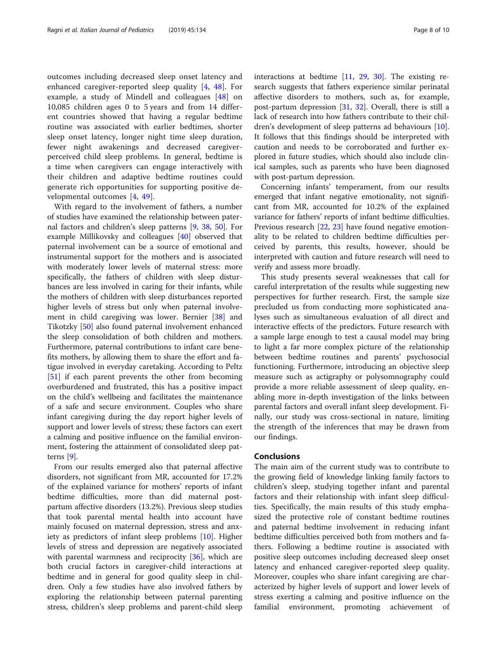outcomes including decreased sleep onset latency and enhanced caregiver-reported sleep quality [\[4](#page-8-0), [48](#page-9-0)]. For example, a study of Mindell and colleagues [[48](#page-9-0)] on 10,085 children ages 0 to 5 years and from 14 different countries showed that having a regular bedtime routine was associated with earlier bedtimes, shorter sleep onset latency, longer night time sleep duration, fewer night awakenings and decreased caregiverperceived child sleep problems. In general, bedtime is a time when caregivers can engage interactively with their children and adaptive bedtime routines could generate rich opportunities for supporting positive developmental outcomes [[4,](#page-8-0) [49](#page-9-0)].

With regard to the involvement of fathers, a number of studies have examined the relationship between paternal factors and children's sleep patterns [[9,](#page-8-0) [38,](#page-9-0) [50](#page-9-0)]. For example Millikovsky and colleagues [[40\]](#page-9-0) observed that paternal involvement can be a source of emotional and instrumental support for the mothers and is associated with moderately lower levels of maternal stress: more specifically, the fathers of children with sleep disturbances are less involved in caring for their infants, while the mothers of children with sleep disturbances reported higher levels of stress but only when paternal involvement in child caregiving was lower. Bernier [\[38](#page-9-0)] and Tikotzky [\[50\]](#page-9-0) also found paternal involvement enhanced the sleep consolidation of both children and mothers. Furthermore, paternal contributions to infant care benefits mothers, by allowing them to share the effort and fatigue involved in everyday caretaking. According to Peltz [[51\]](#page-9-0) if each parent prevents the other from becoming overburdened and frustrated, this has a positive impact on the child's wellbeing and facilitates the maintenance of a safe and secure environment. Couples who share infant caregiving during the day report higher levels of support and lower levels of stress; these factors can exert a calming and positive influence on the familial environment, fostering the attainment of consolidated sleep patterns [\[9](#page-8-0)].

From our results emerged also that paternal affective disorders, not significant from MR, accounted for 17.2% of the explained variance for mothers' reports of infant bedtime difficulties, more than did maternal postpartum affective disorders (13.2%). Previous sleep studies that took parental mental health into account have mainly focused on maternal depression, stress and anxiety as predictors of infant sleep problems [\[10\]](#page-8-0). Higher levels of stress and depression are negatively associated with parental warmness and reciprocity [\[36](#page-9-0)], which are both crucial factors in caregiver-child interactions at bedtime and in general for good quality sleep in children. Only a few studies have also involved fathers by exploring the relationship between paternal parenting stress, children's sleep problems and parent-child sleep interactions at bedtime [[11,](#page-8-0) [29](#page-9-0), [30\]](#page-9-0). The existing research suggests that fathers experience similar perinatal affective disorders to mothers, such as, for example, post-partum depression [[31,](#page-9-0) [32\]](#page-9-0). Overall, there is still a lack of research into how fathers contribute to their children's development of sleep patterns ad behaviours [\[10](#page-8-0)]. It follows that this findings should be interpreted with caution and needs to be corroborated and further explored in future studies, which should also include clinical samples, such as parents who have been diagnosed with post-partum depression.

Concerning infants' temperament, from our results emerged that infant negative emotionality, not significant from MR, accounted for 10.2% of the explained variance for fathers' reports of infant bedtime difficulties. Previous research [\[22](#page-8-0), [23\]](#page-8-0) have found negative emotionality to be related to children bedtime difficulties perceived by parents, this results, however, should be interpreted with caution and future research will need to verify and assess more broadly.

This study presents several weaknesses that call for careful interpretation of the results while suggesting new perspectives for further research. First, the sample size precluded us from conducting more sophisticated analyses such as simultaneous evaluation of all direct and interactive effects of the predictors. Future research with a sample large enough to test a causal model may bring to light a far more complex picture of the relationship between bedtime routines and parents' psychosocial functioning. Furthermore, introducing an objective sleep measure such as actigraphy or polysomnography could provide a more reliable assessment of sleep quality, enabling more in-depth investigation of the links between parental factors and overall infant sleep development. Finally, our study was cross-sectional in nature, limiting the strength of the inferences that may be drawn from our findings.

## Conclusions

The main aim of the current study was to contribute to the growing field of knowledge linking family factors to children's sleep, studying together infant and parental factors and their relationship with infant sleep difficulties. Specifically, the main results of this study emphasized the protective role of constant bedtime routines and paternal bedtime involvement in reducing infant bedtime difficulties perceived both from mothers and fathers. Following a bedtime routine is associated with positive sleep outcomes including decreased sleep onset latency and enhanced caregiver-reported sleep quality. Moreover, couples who share infant caregiving are characterized by higher levels of support and lower levels of stress exerting a calming and positive influence on the familial environment, promoting achievement of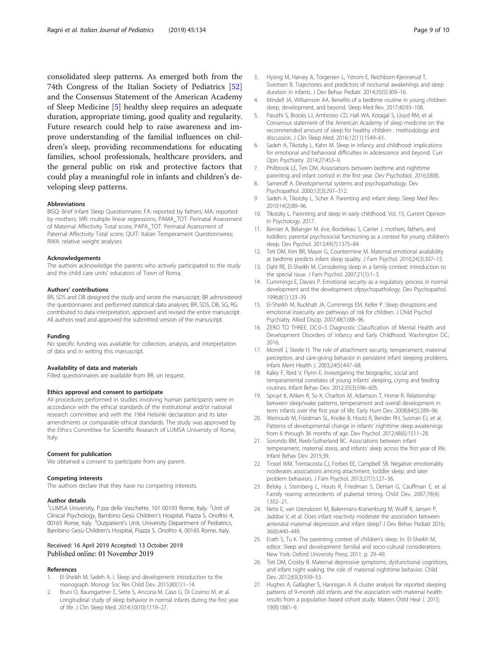<span id="page-8-0"></span>consolidated sleep patterns. As emerged both from the 74th Congress of the Italian Society of Pediatrics [[52](#page-9-0)] and the Consensus Statement of the American Academy of Sleep Medicine [5] healthy sleep requires an adequate duration, appropriate timing, good quality and regularity. Future research could help to raise awareness and improve understanding of the familial influences on children's sleep, providing recommendations for educating families, school professionals, healthcare providers, and the general public on risk and protective factors that could play a meaningful role in infants and children's developing sleep patterns.

#### Abbreviations

BISQ: Brief Infant Sleep Questionnaire; FA: reported by fathers; MA: reported by mothers; MR: multiple linear regressions; PAMA\_TOT: Perinatal Assessment of Maternal Affectivity Total score; PAPA\_TOT: Perinatal Assessment of Paternal Affectivity Total score; QUIT: Italian Temperament Questionnaires; RWA: relative weight analyses

#### Acknowledgements

The authors acknowledge the parents who actively participated to the study and the child care units' educators of Town of Roma.

#### Authors' contributions

BR, SDS and DB designed the study and wrote the manuscript; BR administered the questionnaires and performed statistical data analyses; BR, SDS, DB, SG, RG contributed to data interpretation, approved and revised the entire manuscript. All authors read and approved the submitted version of the manuscript.

#### Funding

No specific funding was available for collection, analysis, and interpretation of data and in writing this manuscript.

#### Availability of data and materials

Filled questionnaires are available from BR, on request.

#### Ethics approval and consent to participate

All procedures performed in studies involving human participants were in accordance with the ethical standards of the institutional and/or national research committee and with the 1964 Helsinki declaration and its later amendments or comparable ethical standards. The study was approved by the Ethics Committee for Scientific Research of LUMSA University of Rome, Italy.

#### Consent for publication

We obtained a consent to participate from any parent.

#### Competing interests

The authors declare that they have no competing interests.

#### Author details

<sup>1</sup>LUMSA University, P.zza delle Vaschette, 101 00193 Rome, Italy. <sup>2</sup>Unit of Clinical Psychology, Bambino Gesù Children's Hospital, Piazza S. Onofrio 4, 00165 Rome, Italy. <sup>3</sup>Outpatient's Unit, University Department of Pediatrics, Bambino Gesù Children's Hospital, Piazza S. Onofrio 4, 00165 Rome, Italy.

#### Received: 16 April 2019 Accepted: 13 October 2019 Published online: 01 November 2019

#### References

- 1. El-Sheikh M, Sadeh A. I. Sleep and development: introduction to the monograph. Monogr Soc Res Child Dev. 2015;80(1):1–14.
- Bruni O, Baumgartner E, Sette S, Ancona M, Caso G, Di Cosimo M, et al. Longitudinal study of sleep behavior in normal infants during the first year of life. J Clin Sleep Med. 2014;10(10):1119–27.
- 3. Hysing M, Harvey A, Torgersen L, Ystrom E, Reichborn-Kjennerud T, Sivertsen B. Trajectories and predictors of nocturnal awakenings and sleep duration in infants. J Dev Behav Pediatr. 2014;35(5):309–16.
- 4. Mindell JA, Williamson AA. Benefits of a bedtime routine in young children: sleep, development, and beyond. Sleep Med Rev. 2017;40:93–108.
- 5. Paruthi S, Brooks LJ, Ambrosio CD, Hall WA, Kotagal S, Lloyd RM, et al. Consensus statement of the American Academy of sleep medicine on the recommended amount of sleep for healthy children : methodology and discussion. J Clin Sleep Med. 2016;12(11):1549–61.
- 6. Sadeh A, Tikotzky L, Kahn M. Sleep in infancy and childhood: implications for emotional and behavioral difficulties in adolescence and beyond. Curr Opin Psychiatry. 2014;27:453–9.
- 7. Philbrook LE, Teti DM. Associations between bedtime and nighttime parenting and infant cortisol in the first year. Dev Psychobiol. 2016;58(8).
- 8. Sameroff A. Developmental systems and psychopathology. Dev Psychopathol. 2000;12(3):297–312.
- 9. Sadeh A, Tikotzky L, Scher A. Parenting and infant sleep. Sleep Med Rev. 2010;14(2):89–96.
- 10. Tikotzky L. Parenting and sleep in early childhood. Vol. 15, Current Opinion in Psychology. 2017.
- 11. Bernier A, Bélanger M. ève, Bordeleau S, Carrier J. mothers, fathers, and toddlers: parental psychosocial functioning as a context for young children's sleep. Dev Psychol. 2013;49(7):1375–84.
- 12. Teti DM, Kim BR, Mayer G, Countermine M. Maternal emotional availability at bedtime predicts infant sleep quality. J Fam Psychol. 2010;24(3):307–15.
- 13. Dahl RE, El-Sheikh M. Considering sleep in a family context: introduction to the special issue. J Fam Psychol. 2007;21(1):1–3.
- 14. Cummings E, Davies P. Emotional security as a regulatory process in normal development and the development ofpsychopathology. Dev Psychopathol. 1996;8(1):123–39.
- 15. El-Sheikh M, Buckhalt JA, Cummings EM, Keller P. Sleep disruptions and emotional insecurity are pathways of risk for children. J Child Psychol Psychiatry Allied Discip. 2007;48(1):88–96.
- 16. ZERO TO THREE. DC:0–5 Diagnostic Classification of Mental Health and Development Disorders of Infancy and Early Childhood. Washington DC; 2016.
- 17. Morrell J, Steele H. The role of attachment security, temperament, maternal perception, and care-giving behavior in persistent infant sleeping problems. Infant Ment Health J. 2003;24(5):447–68.
- 18. Kaley F, Reid V, Flynn E. Investigating the biographic, social and temperamental correlates of young infants' sleeping, crying and feeding routines. Infant Behav Dev. 2012;35(3):596–605.
- 19. Spruyt K, Aitken R, So K, Charlton M, Adamson T, Horne R. Relationship between sleep/wake patterns, temperament and overall development in term infants over the first year of life. Early Hum Dev. 2008;84(5):289–96.
- 20. Weinraub M, Friedman SL, Knoke B, Houts R, Bender RH, Susman EJ, et al. Patterns of developmental change in infants' nighttime sleep awakenings from 6 through 36 months of age. Dev Psychol. 2012;48(6):1511–28.
- 21. Sorondo BM, Reeb-Sutherland BC. Associations between infant temperament, maternal stress, and infants' sleep across the first year of life. Infant Behav Dev. 2015;39.
- 22. Troxel WM, Trentacosta CJ, Forbes EE, Campbell SB. Negative emotionality moderates associations among attachment, toddler sleep, and later problem behaviors. J Fam Psychol. 2013;27(1):127–36.
- 23. Belsky J, Steinberg L, Houts R, Friedman S, DeHart G, Cauffman E, et al. Family rearing antecedents of pubertal timing. Child Dev. 2007;78(4): 1302–21.
- 24. Netsi E, van IJzendoorn M, Bakermans-Kranenburg M, Wulff K, Jansen P, Jaddoe V, et al. Does infant reactivity moderate the association between antenatal maternal depression and infant sleep? J Dev Behav Pediatr 2016; 36(6):440–449.
- 25. Erath S, Tu K. The parenting context of children's sleep. In: El-Sheikh M, editor. Sleep and development: familial and socio-cultural considerations. New York: Oxford University Press; 2011. p. 29–49.
- 26. Teti DM, Crosby B. Maternal depressive symptoms, dysfunctional cognitions, and infant night waking: the role of maternal nighttime behavior. Child Dev. 2012;83(3):939–53.
- 27. Hughes A, Gallagher S, Hannigan A. A cluster analysis for reported sleeping patterns of 9-month old infants and the association with maternal health: results from a population based cohort study. Matern Child Heal J. 2015; 19(8):1881–9.